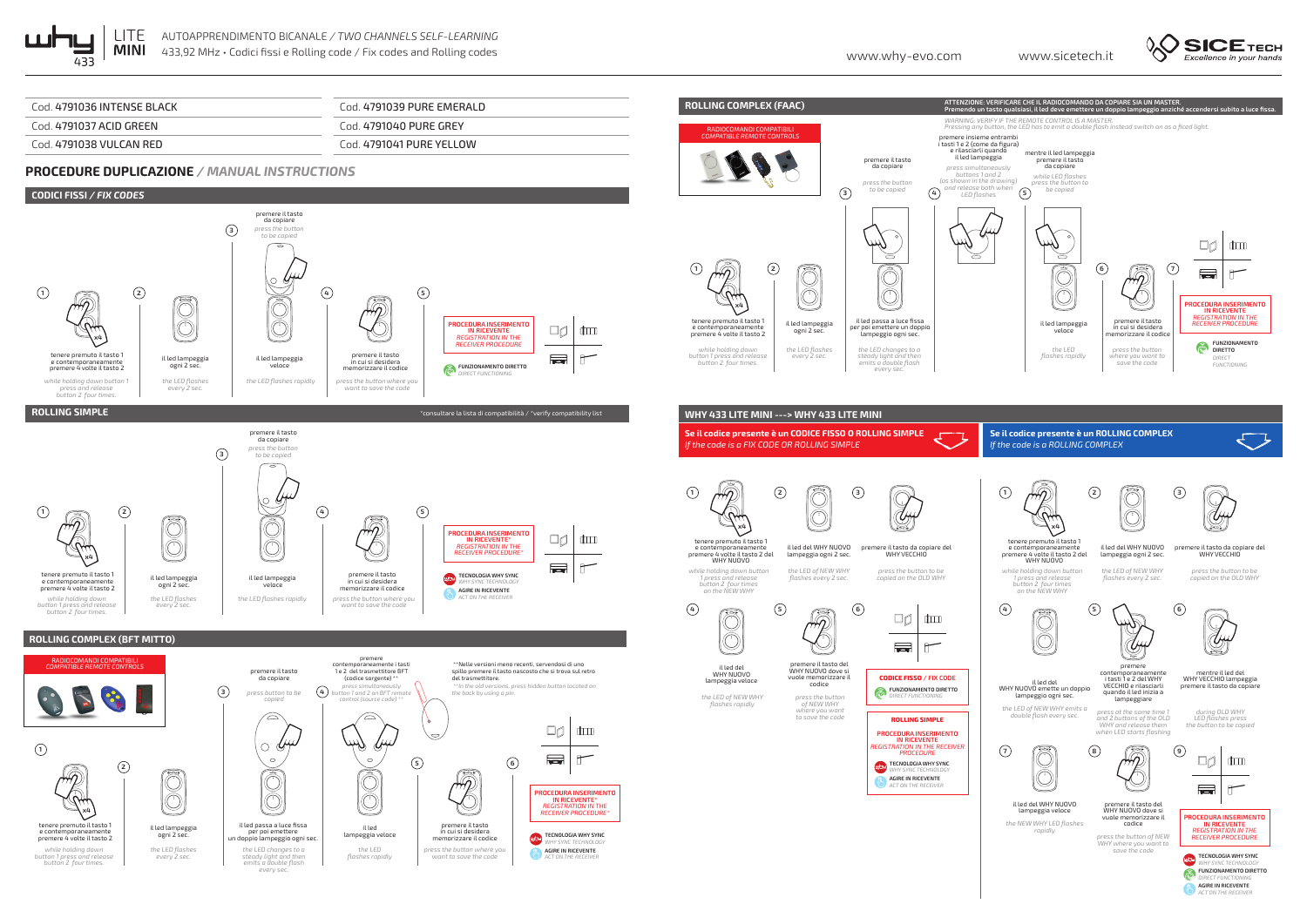





*ACT ON THE RECEIVER*